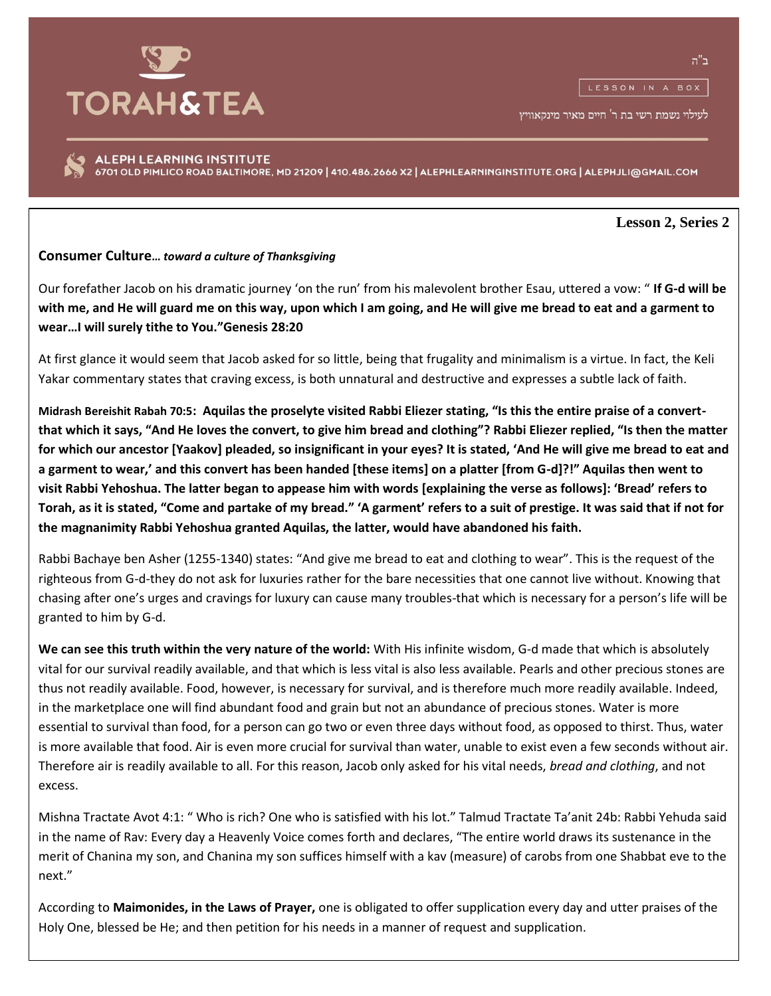## **TORAH&TEA**

ב"ה

לעילוי נשמת רשי בת ר' חיים מאיר מינקאוויץ

ALEPH LEARNING INSTITUTE 6701 OLD PIMLICO ROAD BALTIMORE, MD 21209 | 410.486.2666 X2 | ALEPHLEARNINGINSTITUTE.ORG | ALEPHJLI@GMAIL.COM

**Lesson 2, Series 2**

## **Consumer Culture…** *toward a culture of Thanksgiving*

Our forefather Jacob on his dramatic journey 'on the run' from his malevolent brother Esau, uttered a vow: " **If G-d will be with me, and He will guard me on this way, upon which I am going, and He will give me bread to eat and a garment to wear…I will surely tithe to You."Genesis 28:20**

At first glance it would seem that Jacob asked for so little, being that frugality and minimalism is a virtue. In fact, the Keli Yakar commentary states that craving excess, is both unnatural and destructive and expresses a subtle lack of faith.

**Midrash Bereishit Rabah 70:5: Aquilas the proselyte visited Rabbi Eliezer stating, "Is this the entire praise of a convertthat which it says, "And He loves the convert, to give him bread and clothing"? Rabbi Eliezer replied, "Is then the matter for which our ancestor [Yaakov] pleaded, so insignificant in your eyes? It is stated, 'And He will give me bread to eat and a garment to wear,' and this convert has been handed [these items] on a platter [from G-d]?!" Aquilas then went to visit Rabbi Yehoshua. The latter began to appease him with words [explaining the verse as follows]: 'Bread' refers to Torah, as it is stated, "Come and partake of my bread." 'A garment' refers to a suit of prestige. It was said that if not for the magnanimity Rabbi Yehoshua granted Aquilas, the latter, would have abandoned his faith.**

Rabbi Bachaye ben Asher (1255-1340) states: "And give me bread to eat and clothing to wear". This is the request of the righteous from G-d-they do not ask for luxuries rather for the bare necessities that one cannot live without. Knowing that chasing after one's urges and cravings for luxury can cause many troubles-that which is necessary for a person's life will be granted to him by G-d.

**We can see this truth within the very nature of the world:** With His infinite wisdom, G-d made that which is absolutely vital for our survival readily available, and that which is less vital is also less available. Pearls and other precious stones are thus not readily available. Food, however, is necessary for survival, and is therefore much more readily available. Indeed, in the marketplace one will find abundant food and grain but not an abundance of precious stones. Water is more essential to survival than food, for a person can go two or even three days without food, as opposed to thirst. Thus, water is more available that food. Air is even more crucial for survival than water, unable to exist even a few seconds without air. Therefore air is readily available to all. For this reason, Jacob only asked for his vital needs, *bread and clothing*, and not excess.

Mishna Tractate Avot 4:1: " Who is rich? One who is satisfied with his lot." Talmud Tractate Ta'anit 24b: Rabbi Yehuda said in the name of Rav: Every day a Heavenly Voice comes forth and declares, "The entire world draws its sustenance in the merit of Chanina my son, and Chanina my son suffices himself with a kav (measure) of carobs from one Shabbat eve to the next."

According to **Maimonides, in the Laws of Prayer,** one is obligated to offer supplication every day and utter praises of the Holy One, blessed be He; and then petition for his needs in a manner of request and supplication.